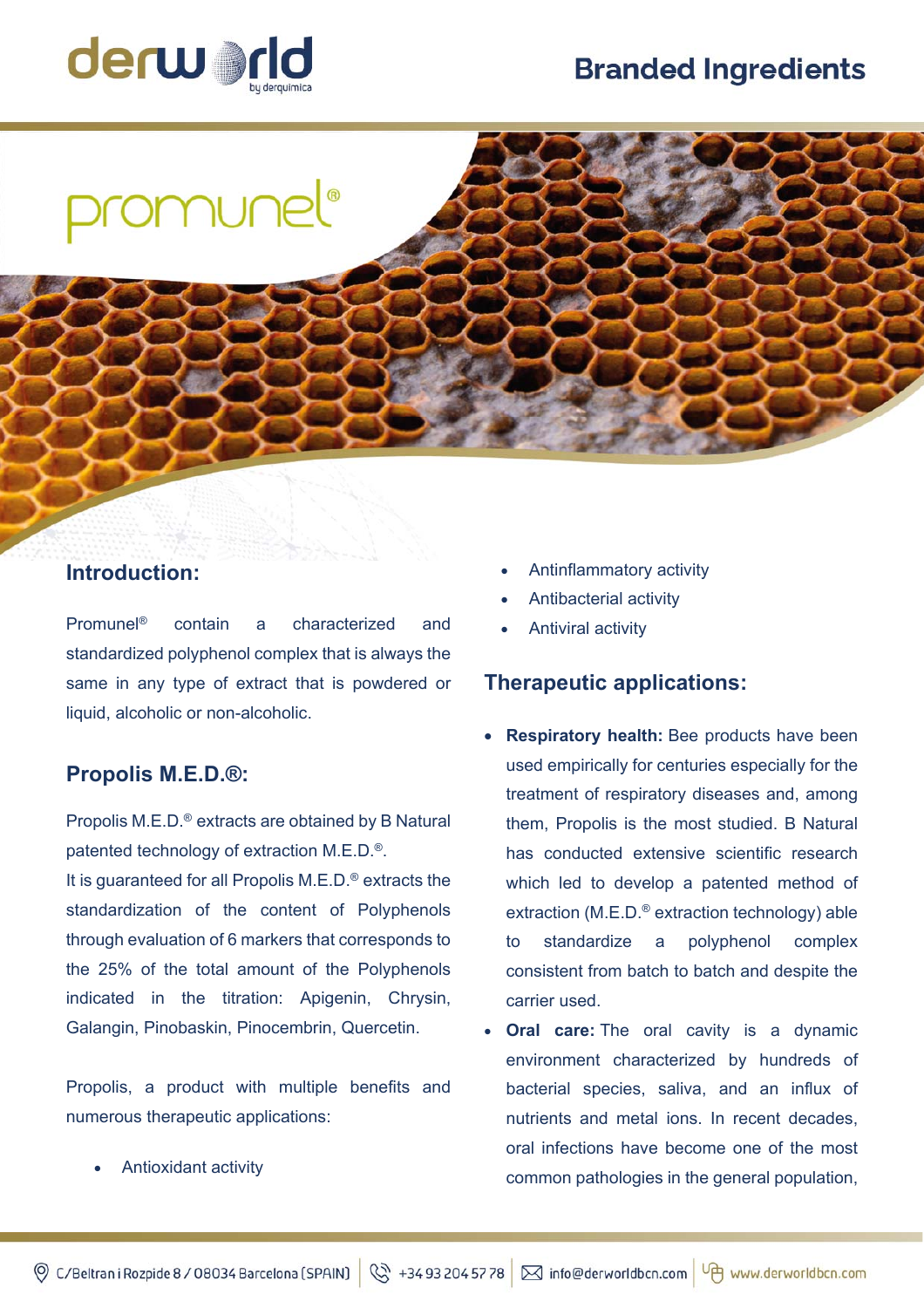# **Branded Ingredients**



```
omunel®
```
## **Introduction:**

Promunel® contain a characterized and standardized polyphenol complex that is always the same in any type of extract that is powdered or liquid, alcoholic or non-alcoholic.

### **Propolis M.E.D.®:**

Propolis M.E.D.® extracts are obtained by B Natural patented technology of extraction M.E.D.®. It is guaranteed for all Propolis M.E.D.® extracts the standardization of the content of Polyphenols through evaluation of 6 markers that corresponds to the 25% of the total amount of the Polyphenols indicated in the titration: Apigenin, Chrysin, Galangin, Pinobaskin, Pinocembrin, Quercetin.

Propolis, a product with multiple benefits and numerous therapeutic applications:

Antioxidant activity

- Antinflammatory activity
- Antibacterial activity
- Antiviral activity

### **Therapeutic applications:**

- **Respiratory health:** Bee products have been used empirically for centuries especially for the treatment of respiratory diseases and, among them, Propolis is the most studied. B Natural has conducted extensive scientific research which led to develop a patented method of extraction (M.E.D.® extraction technology) able to standardize a polyphenol complex consistent from batch to batch and despite the carrier used.
- **Oral care:** The oral cavity is a dynamic environment characterized by hundreds of bacterial species, saliva, and an influx of nutrients and metal ions. In recent decades, oral infections have become one of the most common pathologies in the general population,